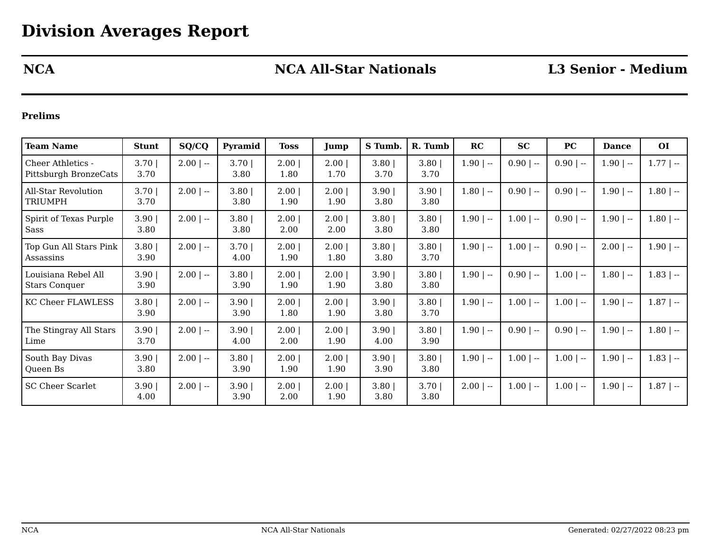# **NCA NCA All-Star Nationals L3 Senior - Medium**

### **Prelims**

| <b>Team Name</b>                                  | <b>Stunt</b>     | SQ/CQ       | Pyramid          | <b>Toss</b>  | Jump                | S Tumb.          | R. Tumb          | RC           | <b>SC</b>    | PC          | <b>Dance</b> | <b>OI</b>    |
|---------------------------------------------------|------------------|-------------|------------------|--------------|---------------------|------------------|------------------|--------------|--------------|-------------|--------------|--------------|
| <b>Cheer Athletics -</b><br>Pittsburgh BronzeCats | $3.70$  <br>3.70 | $2.00$   -- | $3.70$  <br>3.80 | 2.00<br>1.80 | $2.00 \mid$<br>1.70 | $3.80$  <br>3.70 | $3.80$  <br>3.70 | $1.90$   --  | $0.90$   --  | $0.90$   -- | $1.90$   --  | $1.77$   $-$ |
| <b>All-Star Revolution</b><br><b>TRIUMPH</b>      | 3.70<br>3.70     | $2.00$   -- | $3.80$  <br>3.80 | 2.00<br>1.90 | 2.00<br>1.90        | $3.90$  <br>3.80 | 3.90<br>3.80     | $1.80$   --  | $0.90$   --  | $0.90$   -- | $1.90$   $-$ | $1.80$   --  |
| Spirit of Texas Purple<br>Sass                    | 3.90<br>3.80     | $2.00$   -- | 3.80<br>3.80     | 2.00<br>2.00 | 2.00 <br>2.00       | 3.80<br>3.80     | 3.80<br>3.80     | $1.90$   --  | $1.00$   --  | $0.90$   -- | $1.90$   --  | $1.80$   --  |
| Top Gun All Stars Pink<br>Assassins               | 3.80<br>3.90     | $2.00$   -- | 3.70<br>4.00     | 2.00<br>1.90 | 2.00<br>1.80        | 3.80<br>3.80     | 3.80<br>3.70     | $1.90$   --  | $1.00$   --  | $0.90$   -- | $2.00$   --  | $1.90$   $-$ |
| Louisiana Rebel All<br><b>Stars Conquer</b>       | 3.90<br>3.90     | $2.00$   -- | $3.80$  <br>3.90 | 2.00<br>1.90 | 2.00<br>1.90        | $3.90$  <br>3.80 | 3.80<br>3.80     | $1.90$   $-$ | $0.90$   --  | $1.00$   -- | $1.80$   --  | $1.83$   $-$ |
| <b>KC Cheer FLAWLESS</b>                          | 3.80<br>3.90     | $2.00$   -- | 3.90<br>3.90     | 2.00<br>1.80 | 2.00 <br>1.90       | $3.90$  <br>3.80 | 3.80<br>3.70     | $1.90$   --  | $1.00$   --  | $1.00$   -- | $1.90$   --  | $1.87$   $-$ |
| The Stingray All Stars<br>Lime                    | 3.90<br>3.70     | $2.00$   -- | 3.90<br>4.00     | 2.00<br>2.00 | 2.00<br>1.90        | $3.90$  <br>4.00 | 3.80<br>3.90     | $1.90$   --  | $0.90$   --  | $0.90$   -- | $1.90$   --  | $1.80$   --  |
| South Bay Divas<br>Queen Bs                       | 3.90<br>3.80     | $2.00$   -- | $3.80$  <br>3.90 | 2.00<br>1.90 | 2.00<br>1.90        | $3.90$  <br>3.90 | 3.80<br>3.80     | $1.90$   --  | $1.00$   --  | $1.00$   -- | $1.90$   --  | $1.83$   $-$ |
| <b>SC Cheer Scarlet</b>                           | 3.90<br>4.00     | $2.00$   -- | 3.90<br>3.90     | 2.00<br>2.00 | 2.00<br>1.90        | $3.80$  <br>3.80 | 3.70<br>3.80     | $2.00$   --  | $1.00$   $-$ | $1.00$   -- | $1.90$   --  | $1.87$   --  |